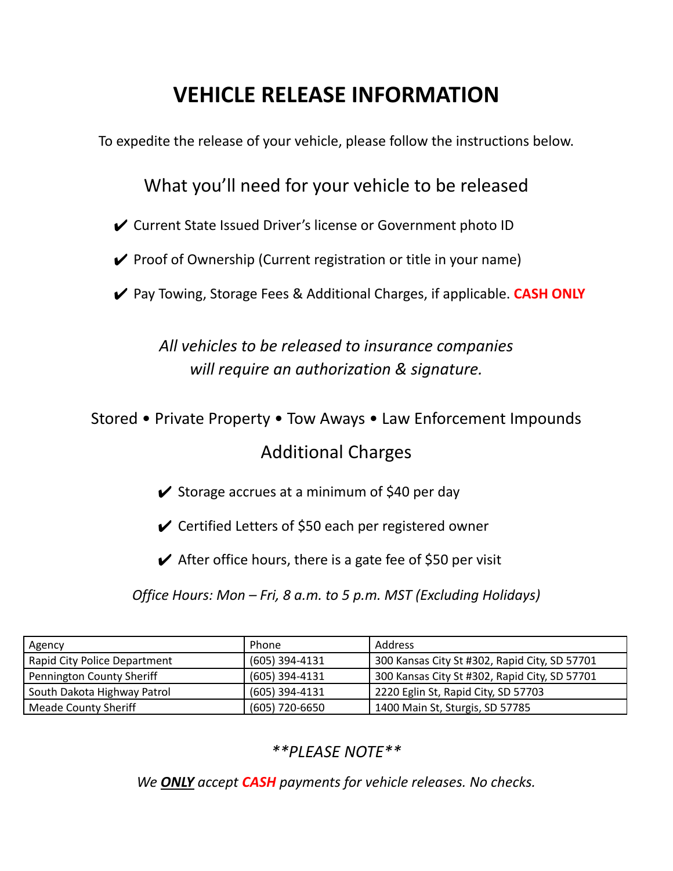## **VEHICLE RELEASE INFORMATION**

To expedite the release of your vehicle, please follow the instructions below.

## What you'll need for your vehicle to be released

✔ Current State Issued Driver's license or Government photo ID

 $\checkmark$  Proof of Ownership (Current registration or title in your name)

✔ Pay Towing, Storage Fees & Additional Charges, if applicable. **CASH ONLY**

*All vehicles to be released to insurance companies will require an authorization & signature.*

Stored • Private Property • Tow Aways • Law Enforcement Impounds

## Additional Charges

 $\checkmark$  Storage accrues at a minimum of \$40 per day

 $\checkmark$  Certified Letters of \$50 each per registered owner

 $\blacktriangleright$  After office hours, there is a gate fee of \$50 per visit

*Office Hours: Mon – Fri, 8 a.m. to 5 p.m. MST (Excluding Holidays)*

| Agency                              | Phone          | Address                                       |
|-------------------------------------|----------------|-----------------------------------------------|
| <b>Rapid City Police Department</b> | (605) 394-4131 | 300 Kansas City St #302, Rapid City, SD 57701 |
| Pennington County Sheriff           | (605) 394-4131 | 300 Kansas City St #302, Rapid City, SD 57701 |
| South Dakota Highway Patrol         | (605) 394-4131 | 2220 Eglin St, Rapid City, SD 57703           |
| <b>Meade County Sheriff</b>         | (605) 720-6650 | 1400 Main St, Sturgis, SD 57785               |

## *\*\*PLEASE NOTE\*\**

*We ONLY accept CASH payments for vehicle releases. No checks.*